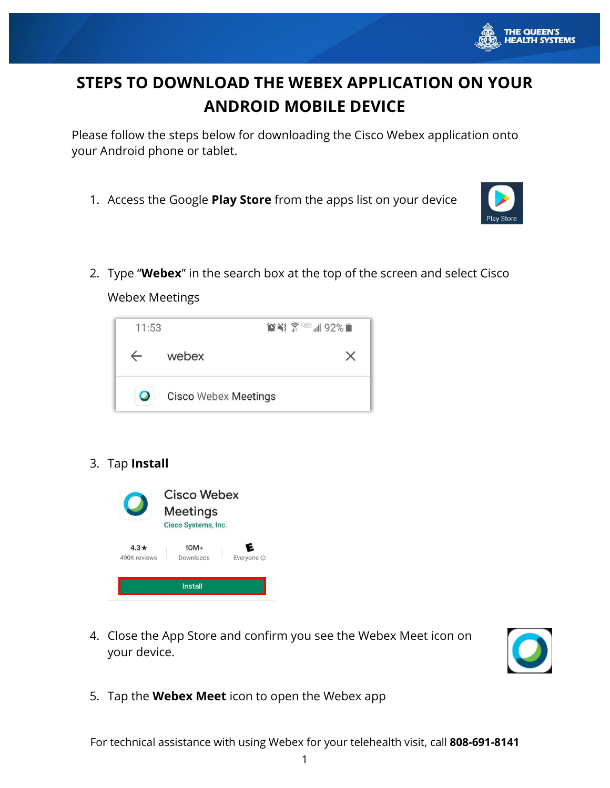

# **STEPS TO DOWNLOAD THE WEBEX APPLICATION ON YOUR ANDROID MOBILE DEVICE**

Please follow the steps below for downloading the Cisco Webex application onto your Android phone or tablet.

1. Access the Google **Play Store** from the apps list on your device



2. Type "**Webex**" in the search box at the top of the screen and select Cisco

Webex Meetings



## 3. Tap **Install**



4. Close the App Store and confirm you see the Webex Meet icon on your device.



5. Tap the **Webex Meet** icon to open the Webex app

For technical assistance with using Webex for your telehealth visit, call **808-691-8141**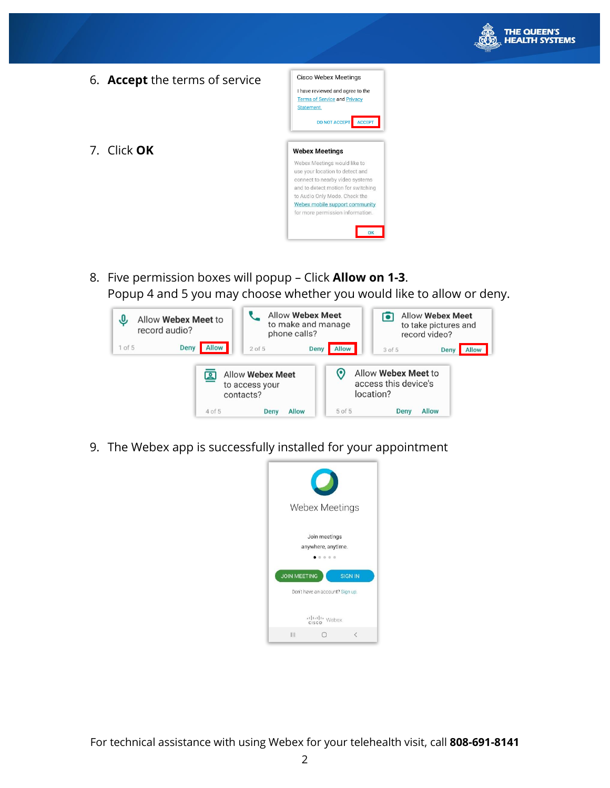

- Cisco Webex Meetings 6. **Accept** the terms of service I have reviewed and agree to the **Terms of Service and Privacy** Statement. DO NOT ACCEPT ACCEPT 7. Click **OK Webex Meetings** Webex Meetings would like to use your location to detect and connect to nearby video systems and to detect motion for switching to Audio Only Mode. Check the Webex mobile support community for more permission information. OK
	- 8. Five permission boxes will popup Click **Allow on 1-3**. Popup 4 and 5 you may choose whether you would like to allow or deny.



9. The Webex app is successfully installed for your appointment

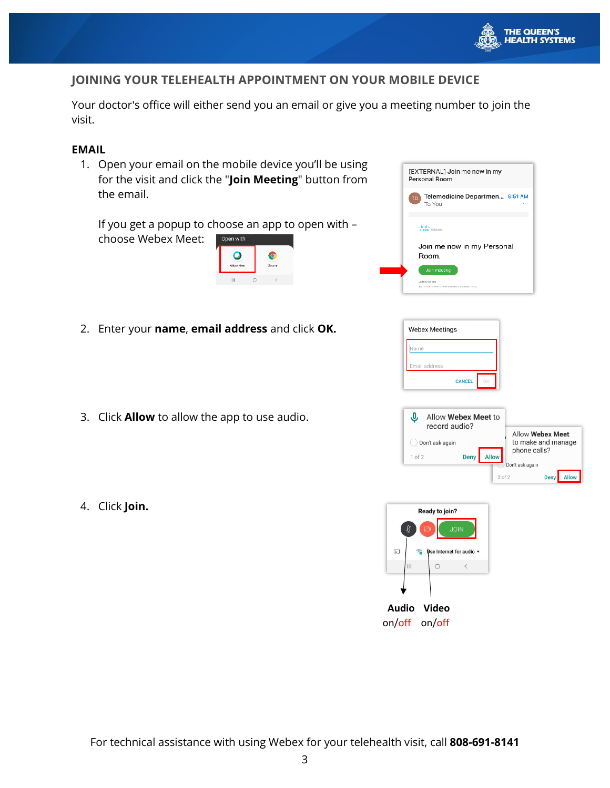

## **JOINING YOUR TELEHEALTH APPOINTMENT ON YOUR MOBILE DEVICE**

Your doctor's office will either send you an email or give you a meeting number to join the visit.

#### **EMAIL**

1. Open your email on the mobile device you'll be using for the visit and click the "**Join Meeting**" button from the email.

If you get a popup to choose an app to open with – choose Webex Meet: Open with

| Webex Meet | Chrome |  |
|------------|--------|--|
| Ш          |        |  |

| [EXTERNAL] Join me now in my<br>Personal Room                                          |  |  |  |
|----------------------------------------------------------------------------------------|--|--|--|
| Telemedicine Departmen 6:51 AM<br>TD<br>To You                                         |  |  |  |
| ahah.<br><b>cisco</b> Webex                                                            |  |  |  |
| Join me now in my Personal<br>Room.                                                    |  |  |  |
| Join meeting<br>Join by phone<br>Tep to dell in from a mobile device (attendees only). |  |  |  |

- 2. Enter your **name**, **email address** and click **OK.**
- 3. Click **Allow** to allow the app to use audio.
- 4. Click **Join.**







1 of 2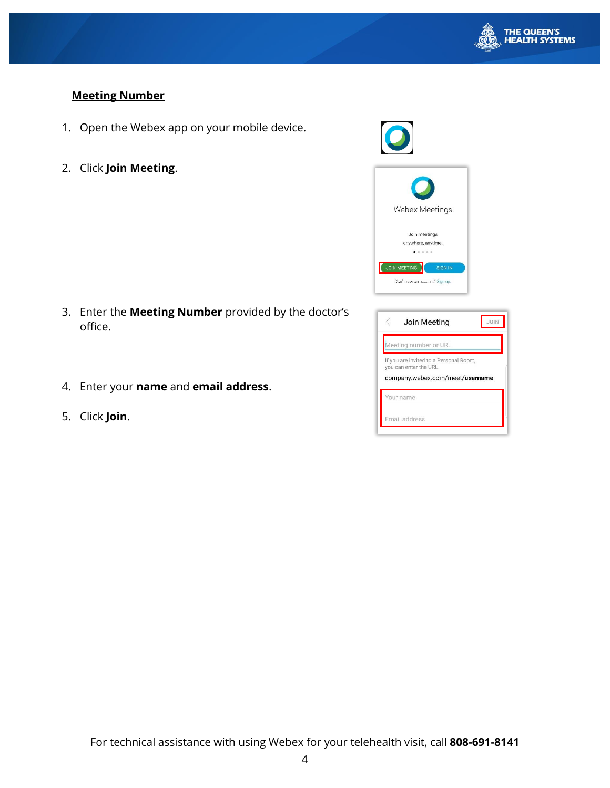

## **Meeting Number**

- 1. Open the Webex app on your mobile device.
- 2. Click **Join Meeting**.

- 3. Enter the **Meeting Number** provided by the doctor's office.
- 4. Enter your **name** and **email address**.
- 5. Click **Join**.

| <b>Webex Meetings</b>                                                    |
|--------------------------------------------------------------------------|
| Join meetings<br>anywhere, anytime.<br>0 0 0 0                           |
| <b>JOIN MEETING</b><br><b>SIGN IN</b><br>Don't have an account? Sign up. |
|                                                                          |

| Join Meeting                                                                                        | <b>JOIN</b> |
|-----------------------------------------------------------------------------------------------------|-------------|
| Meeting number or URL                                                                               |             |
| If you are invited to a Personal Room,<br>you can enter the URL.<br>company.webex.com/meet/username |             |
|                                                                                                     |             |
| Your name                                                                                           |             |